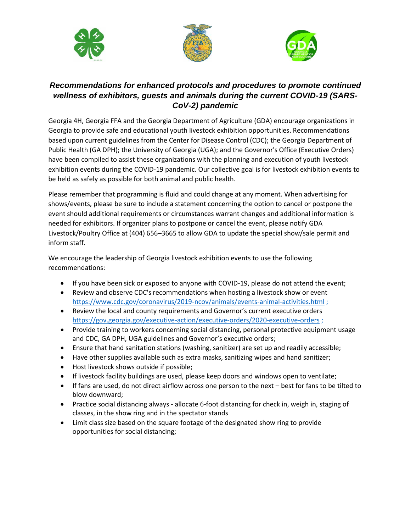





## *Recommendations for enhanced protocols and procedures to promote continued wellness of exhibitors, guests and animals during the current COVID-19 (SARS-CoV-2) pandemic*

Georgia 4H, Georgia FFA and the Georgia Department of Agriculture (GDA) encourage organizations in Georgia to provide safe and educational youth livestock exhibition opportunities. Recommendations based upon current guidelines from the Center for Disease Control (CDC); the Georgia Department of Public Health (GA DPH); the University of Georgia (UGA); and the Governor's Office (Executive Orders) have been compiled to assist these organizations with the planning and execution of youth livestock exhibition events during the COVID-19 pandemic. Our collective goal is for livestock exhibition events to be held as safely as possible for both animal and public health.

Please remember that programming is fluid and could change at any moment. When advertising for shows/events, please be sure to include a statement concerning the option to cancel or postpone the event should additional requirements or circumstances warrant changes and additional information is needed for exhibitors. If organizer plans to postpone or cancel the event, please notify GDA Livestock/Poultry Office at (404) 656–3665 to allow GDA to update the special show/sale permit and inform staff.

We encourage the leadership of Georgia livestock exhibition events to use the following recommendations:

- If you have been sick or exposed to anyone with COVID-19, please do not attend the event;
- Review and observe CDC's recommendations when hosting a livestock show or event <https://www.cdc.gov/coronavirus/2019-ncov/animals/events-animal-activities.html>;
- Review the local and county requirements and Governor's current executive orders <https://gov.georgia.gov/executive-action/executive-orders/2020-executive-orders> ;
- Provide training to workers concerning social distancing, personal protective equipment usage and CDC, GA DPH, UGA guidelines and Governor's executive orders;
- Ensure that hand sanitation stations (washing, sanitizer) are set up and readily accessible;
- Have other supplies available such as extra masks, sanitizing wipes and hand sanitizer;
- Host livestock shows outside if possible;
- If livestock facility buildings are used, please keep doors and windows open to ventilate;
- If fans are used, do not direct airflow across one person to the next best for fans to be tilted to blow downward;
- Practice social distancing always allocate 6-foot distancing for check in, weigh in, staging of classes, in the show ring and in the spectator stands
- Limit class size based on the square footage of the designated show ring to provide opportunities for social distancing;